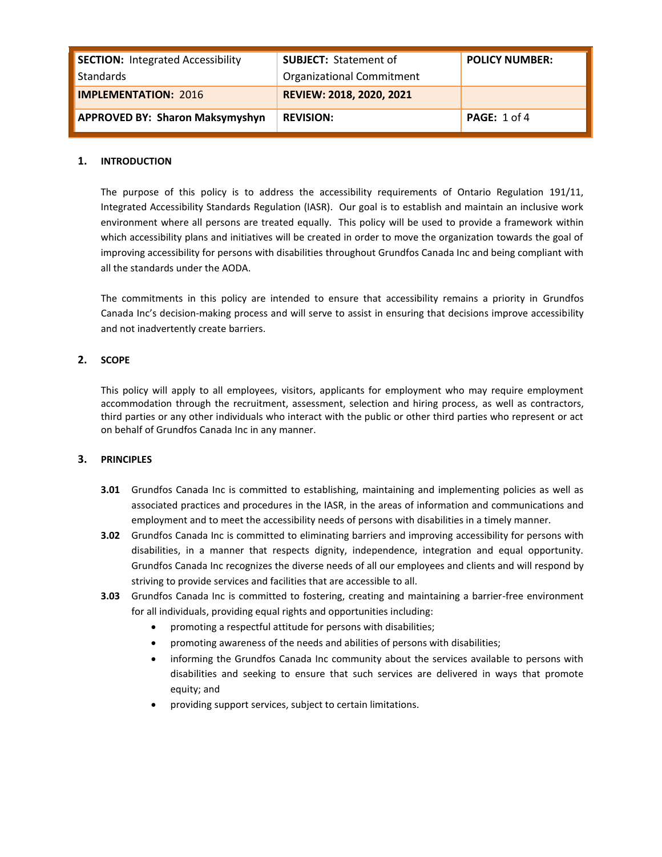| <b>SECTION: Integrated Accessibility</b><br>Standards | <b>SUBJECT: Statement of</b><br><b>Organizational Commitment</b> | <b>POLICY NUMBER:</b>   |
|-------------------------------------------------------|------------------------------------------------------------------|-------------------------|
| <b>IMPLEMENTATION: 2016</b>                           | REVIEW: 2018, 2020, 2021                                         |                         |
| <b>APPROVED BY: Sharon Maksymyshyn</b>                | <b>REVISION:</b>                                                 | <b>PAGE:</b> $1$ of $4$ |

## **1. INTRODUCTION**

The purpose of this policy is to address the accessibility requirements of Ontario Regulation 191/11, Integrated Accessibility Standards Regulation (IASR). Our goal is to establish and maintain an inclusive work environment where all persons are treated equally. This policy will be used to provide a framework within which accessibility plans and initiatives will be created in order to move the organization towards the goal of improving accessibility for persons with disabilities throughout Grundfos Canada Inc and being compliant with all the standards under the AODA.

The commitments in this policy are intended to ensure that accessibility remains a priority in Grundfos Canada Inc's decision-making process and will serve to assist in ensuring that decisions improve accessibility and not inadvertently create barriers.

## **2. SCOPE**

This policy will apply to all employees, visitors, applicants for employment who may require employment accommodation through the recruitment, assessment, selection and hiring process, as well as contractors, third parties or any other individuals who interact with the public or other third parties who represent or act on behalf of Grundfos Canada Inc in any manner.

### **3. PRINCIPLES**

- **3.01** Grundfos Canada Inc is committed to establishing, maintaining and implementing policies as well as associated practices and procedures in the IASR, in the areas of information and communications and employment and to meet the accessibility needs of persons with disabilities in a timely manner.
- **3.02** Grundfos Canada Inc is committed to eliminating barriers and improving accessibility for persons with disabilities, in a manner that respects dignity, independence, integration and equal opportunity. Grundfos Canada Inc recognizes the diverse needs of all our employees and clients and will respond by striving to provide services and facilities that are accessible to all.
- **3.03** Grundfos Canada Inc is committed to fostering, creating and maintaining a barrier-free environment for all individuals, providing equal rights and opportunities including:
	- promoting a respectful attitude for persons with disabilities;
	- promoting awareness of the needs and abilities of persons with disabilities;
	- informing the Grundfos Canada Inc community about the services available to persons with disabilities and seeking to ensure that such services are delivered in ways that promote equity; and
	- providing support services, subject to certain limitations.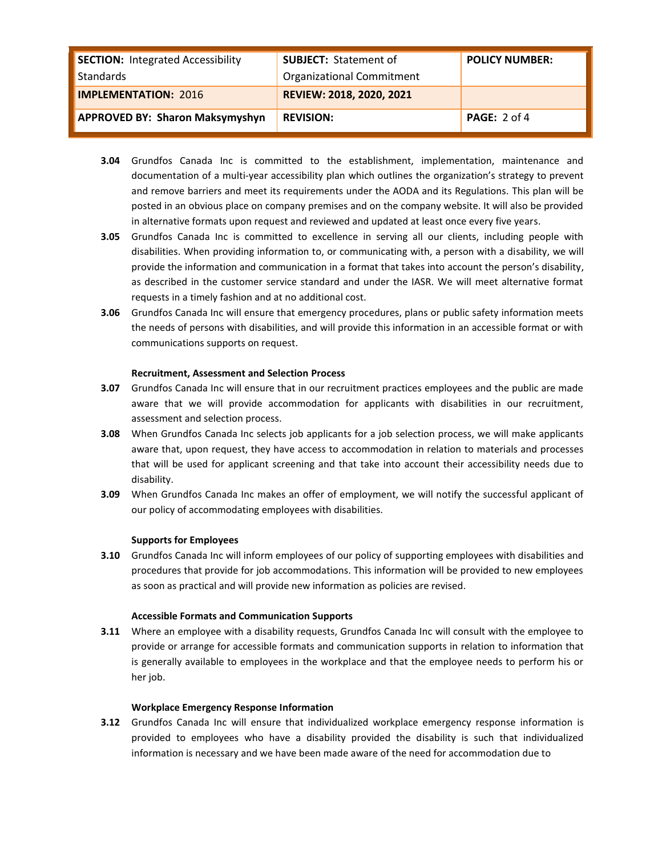| <b>SECTION: Integrated Accessibility</b><br>Standards | <b>SUBJECT: Statement of</b><br><b>Organizational Commitment</b> | <b>POLICY NUMBER:</b> |
|-------------------------------------------------------|------------------------------------------------------------------|-----------------------|
| <b>IMPLEMENTATION: 2016</b>                           | REVIEW: 2018, 2020, 2021                                         |                       |
| <b>APPROVED BY: Sharon Maksymyshyn</b>                | <b>REVISION:</b>                                                 | <b>PAGE:</b> $2$ of 4 |

- **3.04** Grundfos Canada Inc is committed to the establishment, implementation, maintenance and documentation of a multi-year accessibility plan which outlines the organization's strategy to prevent and remove barriers and meet its requirements under the AODA and its Regulations. This plan will be posted in an obvious place on company premises and on the company website. It will also be provided in alternative formats upon request and reviewed and updated at least once every five years.
- **3.05** Grundfos Canada Inc is committed to excellence in serving all our clients, including people with disabilities. When providing information to, or communicating with, a person with a disability, we will provide the information and communication in a format that takes into account the person's disability, as described in the customer service standard and under the IASR. We will meet alternative format requests in a timely fashion and at no additional cost.
- **3.06** Grundfos Canada Inc will ensure that emergency procedures, plans or public safety information meets the needs of persons with disabilities, and will provide this information in an accessible format or with communications supports on request.

### **Recruitment, Assessment and Selection Process**

- **3.07** Grundfos Canada Inc will ensure that in our recruitment practices employees and the public are made aware that we will provide accommodation for applicants with disabilities in our recruitment, assessment and selection process.
- **3.08** When Grundfos Canada Inc selects job applicants for a job selection process, we will make applicants aware that, upon request, they have access to accommodation in relation to materials and processes that will be used for applicant screening and that take into account their accessibility needs due to disability.
- **3.09** When Grundfos Canada Inc makes an offer of employment, we will notify the successful applicant of our policy of accommodating employees with disabilities.

### **Supports for Employees**

**3.10** Grundfos Canada Inc will inform employees of our policy of supporting employees with disabilities and procedures that provide for job accommodations. This information will be provided to new employees as soon as practical and will provide new information as policies are revised.

### **Accessible Formats and Communication Supports**

**3.11** Where an employee with a disability requests, Grundfos Canada Inc will consult with the employee to provide or arrange for accessible formats and communication supports in relation to information that is generally available to employees in the workplace and that the employee needs to perform his or her job.

### **Workplace Emergency Response Information**

**3.12** Grundfos Canada Inc will ensure that individualized workplace emergency response information is provided to employees who have a disability provided the disability is such that individualized information is necessary and we have been made aware of the need for accommodation due to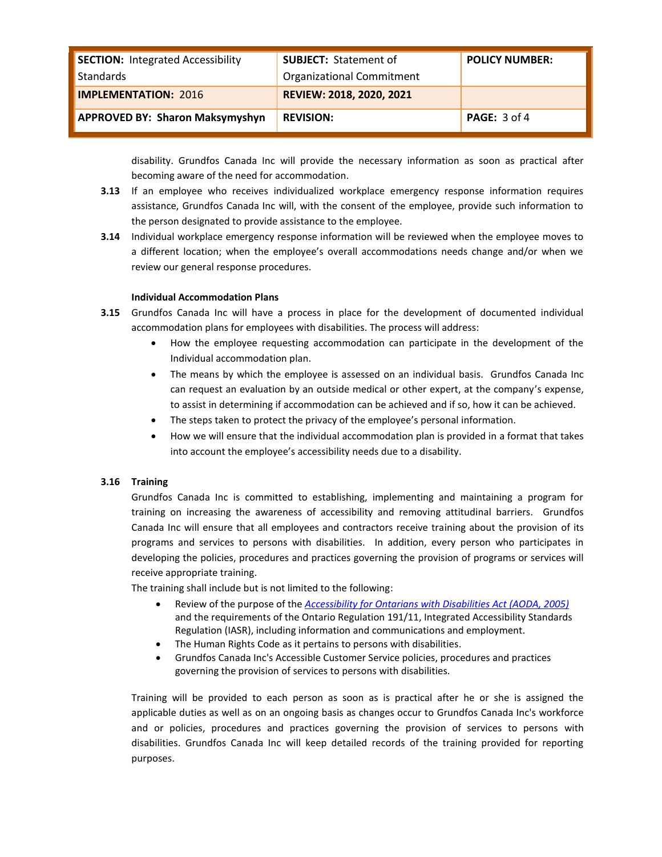| <b>SECTION: Integrated Accessibility</b><br>Standards | <b>SUBJECT: Statement of</b><br><b>Organizational Commitment</b> | <b>POLICY NUMBER:</b> |
|-------------------------------------------------------|------------------------------------------------------------------|-----------------------|
| <b>IMPLEMENTATION: 2016</b>                           | REVIEW: 2018, 2020, 2021                                         |                       |
| <b>APPROVED BY: Sharon Maksymyshyn</b>                | <b>REVISION:</b>                                                 | <b>PAGE:</b> $3$ of 4 |

disability. Grundfos Canada Inc will provide the necessary information as soon as practical after becoming aware of the need for accommodation.

- **3.13** If an employee who receives individualized workplace emergency response information requires assistance, Grundfos Canada Inc will, with the consent of the employee, provide such information to the person designated to provide assistance to the employee.
- **3.14** Individual workplace emergency response information will be reviewed when the employee moves to a different location; when the employee's overall accommodations needs change and/or when we review our general response procedures.

### **Individual Accommodation Plans**

- **3.15** Grundfos Canada Inc will have a process in place for the development of documented individual accommodation plans for employees with disabilities. The process will address:
	- How the employee requesting accommodation can participate in the development of the Individual accommodation plan.
	- The means by which the employee is assessed on an individual basis. Grundfos Canada Inc can request an evaluation by an outside medical or other expert, at the company's expense, to assist in determining if accommodation can be achieved and if so, how it can be achieved.
	- The steps taken to protect the privacy of the employee's personal information.
	- How we will ensure that the individual accommodation plan is provided in a format that takes into account the employee's accessibility needs due to a disability.

## **3.16 Training**

Grundfos Canada Inc is committed to establishing, implementing and maintaining a program for training on increasing the awareness of accessibility and removing attitudinal barriers. Grundfos Canada Inc will ensure that all employees and contractors receive training about the provision of its programs and services to persons with disabilities. In addition, every person who participates in developing the policies, procedures and practices governing the provision of programs or services will receive appropriate training.

The training shall include but is not limited to the following:

- Review of the purpose of the *[Accessibility for Ontarians with Disabilities Act \(AODA, 2005\)](http://www.mcss.gov.on.ca/mcss/english/pillars/accessibilityOntario)* and the requirements of the Ontario Regulation 191/11, Integrated Accessibility Standards Regulation (IASR), including information and communications and employment.
- The Human Rights Code as it pertains to persons with disabilities.
- Grundfos Canada Inc's Accessible Customer Service policies, procedures and practices governing the provision of services to persons with disabilities.

Training will be provided to each person as soon as is practical after he or she is assigned the applicable duties as well as on an ongoing basis as changes occur to Grundfos Canada Inc's workforce and or policies, procedures and practices governing the provision of services to persons with disabilities. Grundfos Canada Inc will keep detailed records of the training provided for reporting purposes.